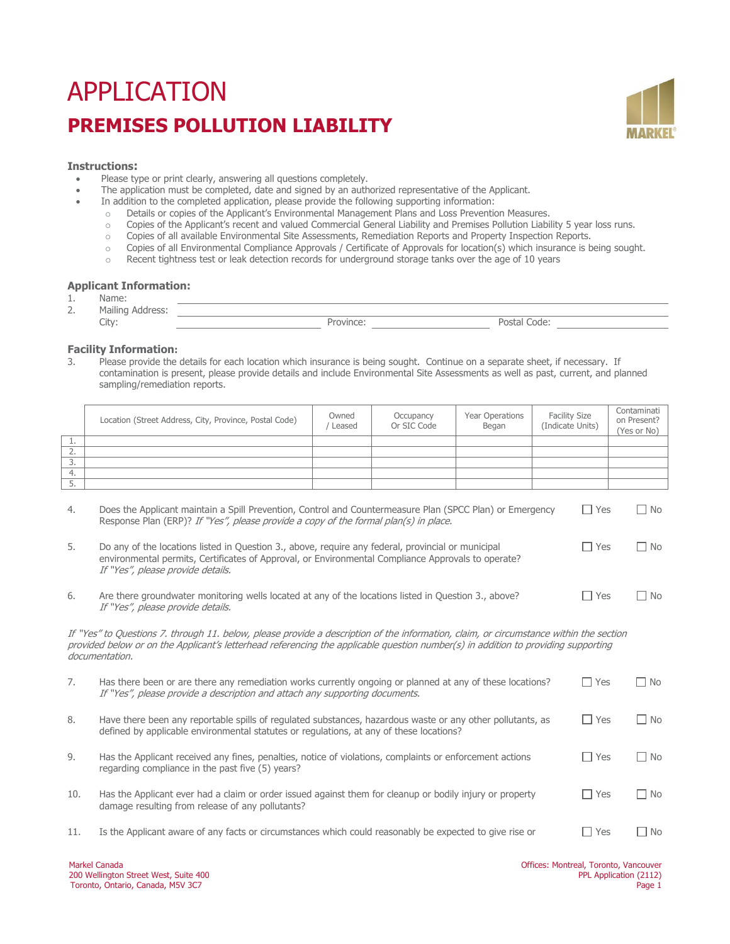# APPLICATION **PREMISES POLLUTION LIABILITY**



### **Instructions:**

- Please type or print clearly, answering all questions completely.
- The application must be completed, date and signed by an authorized representative of the Applicant.<br>• In addition to the completed application, please provide the following supporting information:
	- In addition to the completed application, please provide the following supporting information:
		- o Details or copies of the Applicant's Environmental Management Plans and Loss Prevention Measures.
		- o Copies of the Applicant's recent and valued Commercial General Liability and Premises Pollution Liability 5 year loss runs.<br>Copies of all available Environmental Site Assessments, Remediation Reports and Property Inspect
		-
		- o Copies of all available Environmental Site Assessments, Remediation Reports and Property Inspection Reports.<br>Copies of all Environmental Compliance Approvals / Certificate of Approvals for location(s) which insurance is  $\circ$  Copies of all Environmental Compliance Approvals / Certificate of Approvals for location(s) which insurance is being sought.<br>Recent tightness test or leak detection records for underground storage tanks over the age
		- Recent tightness test or leak detection records for underground storage tanks over the age of 10 years

#### **Applicant Information:**

|  | Name: |
|--|-------|

| <u>.</u> | $-$<br>1ailinc<br>$\sim$<br>Addr<br>- |          |                       |  |
|----------|---------------------------------------|----------|-----------------------|--|
|          | City:                                 | Province | code:<br>. اڪت<br>--- |  |

## **Facility Information:**

Please provide the details for each location which insurance is being sought. Continue on a separate sheet, if necessary. If contamination is present, please provide details and include Environmental Site Assessments as well as past, current, and planned sampling/remediation reports.

|          | Location (Street Address, City, Province, Postal Code)                                                                                                                                                                                                                                        | Owned<br>/ Leased | Occupancy<br>Or SIC Code | Year Operations<br>Began | <b>Facility Size</b><br>(Indicate Units) | Contaminati<br>on Present?<br>(Yes or No) |  |  |  |  |
|----------|-----------------------------------------------------------------------------------------------------------------------------------------------------------------------------------------------------------------------------------------------------------------------------------------------|-------------------|--------------------------|--------------------------|------------------------------------------|-------------------------------------------|--|--|--|--|
| 1.       |                                                                                                                                                                                                                                                                                               |                   |                          |                          |                                          |                                           |  |  |  |  |
| 2.<br>3. |                                                                                                                                                                                                                                                                                               |                   |                          |                          |                                          |                                           |  |  |  |  |
| 4.       |                                                                                                                                                                                                                                                                                               |                   |                          |                          |                                          |                                           |  |  |  |  |
| 5.       |                                                                                                                                                                                                                                                                                               |                   |                          |                          |                                          |                                           |  |  |  |  |
| 4.       | $\Box$ Yes<br>$\Box$ No<br>Does the Applicant maintain a Spill Prevention, Control and Countermeasure Plan (SPCC Plan) or Emergency<br>Response Plan (ERP)? If "Yes", please provide a copy of the formal plan(s) in place.                                                                   |                   |                          |                          |                                          |                                           |  |  |  |  |
| 5.       | $\Box$ Yes<br>Do any of the locations listed in Question 3., above, require any federal, provincial or municipal<br>$\Box$ No<br>environmental permits, Certificates of Approval, or Environmental Compliance Approvals to operate?<br>If "Yes", please provide details.                      |                   |                          |                          |                                          |                                           |  |  |  |  |
| 6.       | Are there groundwater monitoring wells located at any of the locations listed in Question 3., above?<br>If "Yes", please provide details.                                                                                                                                                     |                   |                          |                          | $\Box$ Yes                               | $\Box$ No                                 |  |  |  |  |
|          | If "Yes" to Questions 7. through 11. below, please provide a description of the information, claim, or circumstance within the section<br>provided below or on the Applicant's letterhead referencing the applicable question number(s) in addition to providing supporting<br>documentation. |                   |                          |                          |                                          |                                           |  |  |  |  |
| 7.       | Has there been or are there any remediation works currently ongoing or planned at any of these locations?<br>$\Box$ Yes<br>$\Box$ No<br>If "Yes", please provide a description and attach any supporting documents.                                                                           |                   |                          |                          |                                          |                                           |  |  |  |  |
| 8.       | $\Box$ Yes<br>Have there been any reportable spills of regulated substances, hazardous waste or any other pollutants, as<br>$\Box$ No<br>defined by applicable environmental statutes or regulations, at any of these locations?                                                              |                   |                          |                          |                                          |                                           |  |  |  |  |
| 9.       | Has the Applicant received any fines, penalties, notice of violations, complaints or enforcement actions<br>$\Box$ Yes<br>regarding compliance in the past five (5) years?                                                                                                                    |                   |                          |                          |                                          |                                           |  |  |  |  |
| 10.      | Has the Applicant ever had a claim or order issued against them for cleanup or bodily injury or property<br>damage resulting from release of any pollutants?                                                                                                                                  | $\Box$ Yes        | $\Box$ No                |                          |                                          |                                           |  |  |  |  |
| 11.      | Is the Applicant aware of any facts or circumstances which could reasonably be expected to give rise or                                                                                                                                                                                       |                   |                          |                          | l Yes                                    | $\Box$ No                                 |  |  |  |  |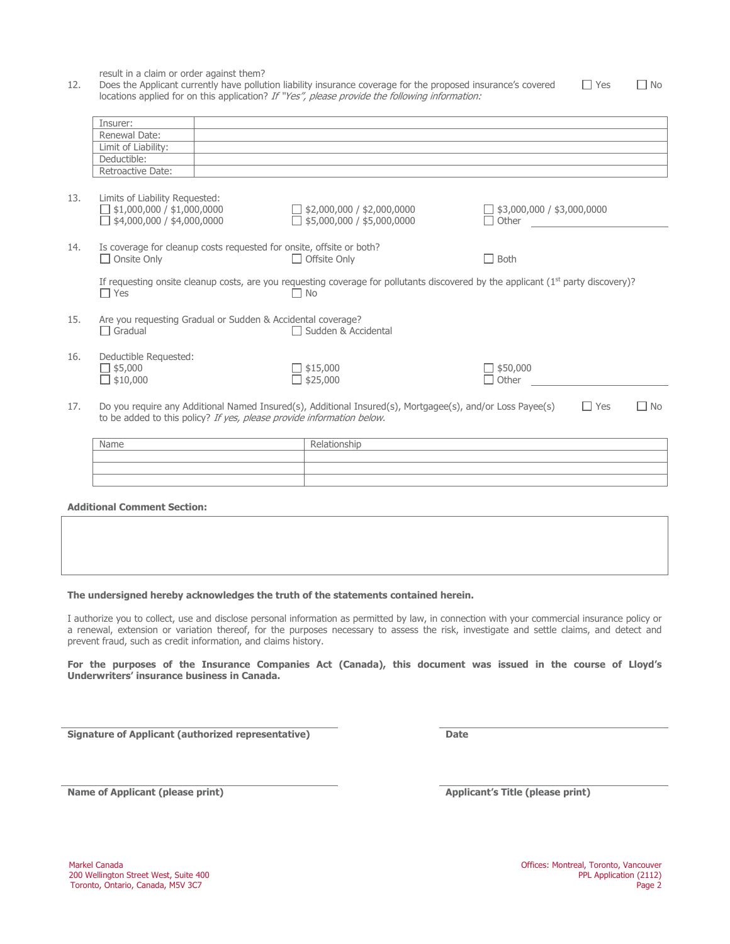result in a claim or order against them?

12. Does the Applicant currently have pollution liability insurance coverage for the proposed insurance's covered locations applied for on this application? If "Yes", please provide the following information:

|     | Insurer:                                                                                                                                                                           |                                                                        |                                            |            |           |
|-----|------------------------------------------------------------------------------------------------------------------------------------------------------------------------------------|------------------------------------------------------------------------|--------------------------------------------|------------|-----------|
|     | Renewal Date:                                                                                                                                                                      |                                                                        |                                            |            |           |
|     | Limit of Liability:                                                                                                                                                                |                                                                        |                                            |            |           |
|     | Deductible:                                                                                                                                                                        |                                                                        |                                            |            |           |
|     | Retroactive Date:                                                                                                                                                                  |                                                                        |                                            |            |           |
| 13. | Limits of Liability Requested:<br>$\Box$ \$1,000,000 / \$1,000,0000<br>$\Box$ \$4,000,000 / \$4,000,0000                                                                           | $\Box$ \$2,000,000 / \$2,000,0000<br>$\Box$ \$5,000,000 / \$5,000,0000 | $\Box$ \$3,000,000 / \$3,000,0000<br>Other |            |           |
| 14. | Is coverage for cleanup costs requested for onsite, offsite or both?<br>$\Box$ Onsite Only                                                                                         | □ Offsite Only                                                         | Both                                       |            |           |
|     | If requesting onsite cleanup costs, are you requesting coverage for pollutants discovered by the applicant $(1st$ party discovery)?<br>$\Box$ Yes                                  | <b>No</b>                                                              |                                            |            |           |
| 15. | Are you requesting Gradual or Sudden & Accidental coverage?<br>$\Box$ Gradual                                                                                                      | Sudden & Accidental                                                    |                                            |            |           |
| 16. | Deductible Requested:<br>$\Box$ \$5,000<br>$\Box$ \$10,000                                                                                                                         | $\Box$ \$15,000<br>\$25,000                                            | $\rfloor$ \$50,000<br>Other                |            |           |
| 17. | Do you require any Additional Named Insured(s), Additional Insured(s), Mortgagee(s), and/or Loss Payee(s)<br>to be added to this policy? If yes, please provide information below. |                                                                        |                                            | $\Box$ Yes | $\Box$ No |
|     | Name                                                                                                                                                                               | Relationship                                                           |                                            |            |           |
|     |                                                                                                                                                                                    |                                                                        |                                            |            |           |
|     |                                                                                                                                                                                    |                                                                        |                                            |            |           |

#### **Additional Comment Section:**

#### **The undersigned hereby acknowledges the truth of the statements contained herein.**

I authorize you to collect, use and disclose personal information as permitted by law, in connection with your commercial insurance policy or a renewal, extension or variation thereof, for the purposes necessary to assess the risk, investigate and settle claims, and detect and prevent fraud, such as credit information, and claims history.

**For the purposes of the Insurance Companies Act (Canada), this document was issued in the course of Lloyd's Underwriters' insurance business in Canada.** 

**Signature of Applicant (authorized representative) Date**

**Name of Applicant (please print) Applicant's Title (please print) Applicant's Title (please print)** 

 $\Box$  Yes  $\Box$  No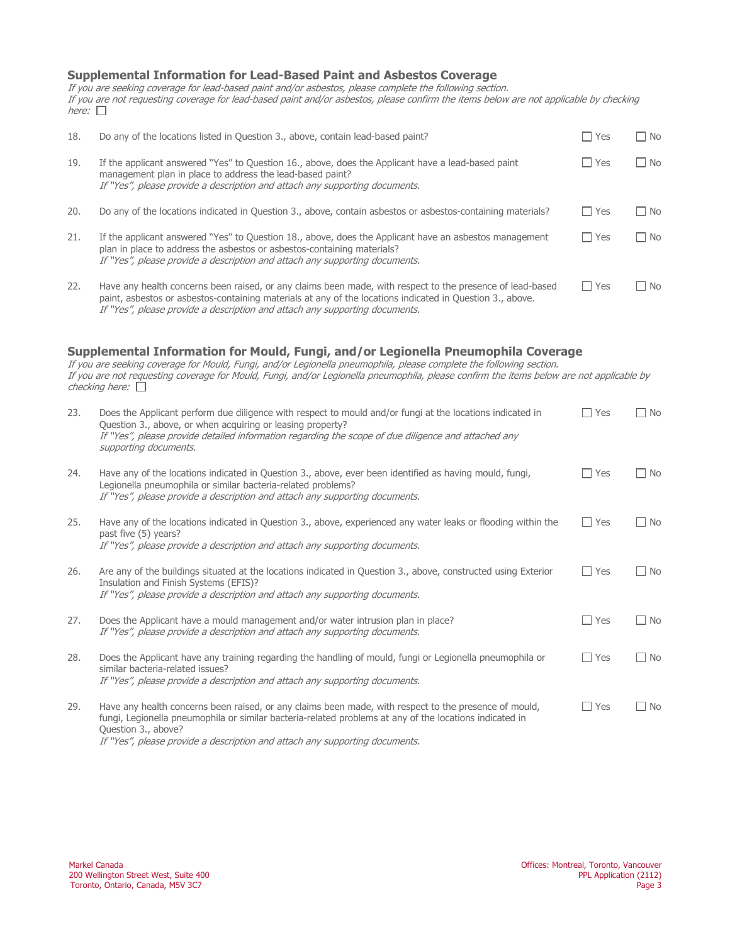#### **Supplemental Information for Lead-Based Paint and Asbestos Coverage**

If you are seeking coverage for lead-based paint and/or asbestos, please complete the following section. If you are not requesting coverage for lead-based paint and/or asbestos, please confirm the items below are not applicable by checking here:  $\Box$ 

| 18. | Do any of the locations listed in Question 3., above, contain lead-based paint?                                                                                                                                                                                                                       | l Yes      | l No      |
|-----|-------------------------------------------------------------------------------------------------------------------------------------------------------------------------------------------------------------------------------------------------------------------------------------------------------|------------|-----------|
| 19. | If the applicant answered "Yes" to Question 16., above, does the Applicant have a lead-based paint<br>management plan in place to address the lead-based paint?<br>If "Yes", please provide a description and attach any supporting documents.                                                        | l Yes      | $\Box$ No |
| 20. | Do any of the locations indicated in Question 3., above, contain asbestos or asbestos-containing materials?                                                                                                                                                                                           | l Yes      | $\Box$ No |
| 21. | If the applicant answered "Yes" to Question 18., above, does the Applicant have an asbestos management<br>plan in place to address the asbestos or asbestos-containing materials?<br>If "Yes", please provide a description and attach any supporting documents.                                      | $\Box$ Yes | $\Box$ No |
| 22. | Have any health concerns been raised, or any claims been made, with respect to the presence of lead-based<br>paint, asbestos or asbestos-containing materials at any of the locations indicated in Question 3., above.<br>If "Yes", please provide a description and attach any supporting documents. | l I Yes    | $\Box$ No |

### **Supplemental Information for Mould, Fungi, and/or Legionella Pneumophila Coverage**

If you are seeking coverage for Mould, Fungi, and/or Legionella pneumophila, please complete the following section. If you are not requesting coverage for Mould, Fungi, and/or Legionella pneumophila, please confirm the items below are not applicable by checking here:  $\square$ 

| 23. | Does the Applicant perform due diligence with respect to mould and/or fungi at the locations indicated in<br>Question 3., above, or when acquiring or leasing property?<br>If "Yes", please provide detailed information regarding the scope of due diligence and attached any<br>supporting documents.                | $\Box$ Yes | <b>No</b><br>П      |
|-----|------------------------------------------------------------------------------------------------------------------------------------------------------------------------------------------------------------------------------------------------------------------------------------------------------------------------|------------|---------------------|
| 24. | Have any of the locations indicated in Question 3., above, ever been identified as having mould, fungi,<br>Legionella pneumophila or similar bacteria-related problems?<br>If "Yes", please provide a description and attach any supporting documents.                                                                 | $\Box$ Yes | No.<br>H            |
| 25. | Have any of the locations indicated in Question 3., above, experienced any water leaks or flooding within the<br>past five (5) years?<br>If "Yes", please provide a description and attach any supporting documents.                                                                                                   | $\Box$ Yes | N <sub>o</sub><br>П |
| 26. | Are any of the buildings situated at the locations indicated in Question 3., above, constructed using Exterior<br>Insulation and Finish Systems (EFIS)?<br>If "Yes", please provide a description and attach any supporting documents.                                                                                 | $\Box$ Yes | <b>No</b><br>m.     |
| 27. | Does the Applicant have a mould management and/or water intrusion plan in place?<br>If "Yes", please provide a description and attach any supporting documents.                                                                                                                                                        | $\Box$ Yes | $\Box$ No           |
| 28. | Does the Applicant have any training regarding the handling of mould, fungi or Legionella pneumophila or<br>similar bacteria-related issues?<br>If "Yes", please provide a description and attach any supporting documents.                                                                                            | $\Box$ Yes | No.<br>$\Box$       |
| 29. | Have any health concerns been raised, or any claims been made, with respect to the presence of mould,<br>fungi, Legionella pneumophila or similar bacteria-related problems at any of the locations indicated in<br>Question 3., above?<br>If "Yes", please provide a description and attach any supporting documents. | $\Box$ Yes | <b>No</b><br>H      |